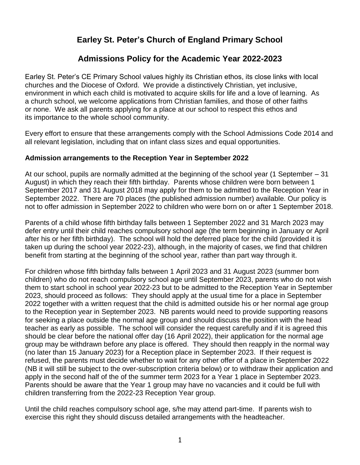# **Earley St. Peter's Church of England Primary School**

# **Admissions Policy for the Academic Year 2022-2023**

Earley St. Peter's CE Primary School values highly its Christian ethos, its close links with local churches and the Diocese of Oxford. We provide a distinctively Christian, yet inclusive, environment in which each child is motivated to acquire skills for life and a love of learning. As a church school, we welcome applications from Christian families, and those of other faiths or none. We ask all parents applying for a place at our school to respect this ethos and its importance to the whole school community.

Every effort to ensure that these arrangements comply with the School Admissions Code 2014 and all relevant legislation, including that on infant class sizes and equal opportunities.

#### **Admission arrangements to the Reception Year in September 2022**

At our school, pupils are normally admitted at the beginning of the school year (1 September – 31 August) in which they reach their fifth birthday. Parents whose children were born between 1 September 2017 and 31 August 2018 may apply for them to be admitted to the Reception Year in September 2022. There are 70 places (the published admission number) available. Our policy is not to offer admission in September 2022 to children who were born on or after 1 September 2018.

Parents of a child whose fifth birthday falls between 1 September 2022 and 31 March 2023 may defer entry until their child reaches compulsory school age (the term beginning in January or April after his or her fifth birthday). The school will hold the deferred place for the child (provided it is taken up during the school year 2022-23), although, in the majority of cases, we find that children benefit from starting at the beginning of the school year, rather than part way through it.

For children whose fifth birthday falls between 1 April 2023 and 31 August 2023 (summer born children) who do not reach compulsory school age until September 2023, parents who do not wish them to start school in school year 2022-23 but to be admitted to the Reception Year in September 2023, should proceed as follows: They should apply at the usual time for a place in September 2022 together with a written request that the child is admitted outside his or her normal age group to the Reception year in September 2023. NB parents would need to provide supporting reasons for seeking a place outside the normal age group and should discuss the position with the head teacher as early as possible. The school will consider the request carefully and if it is agreed this should be clear before the national offer day (16 April 2022), their application for the normal age group may be withdrawn before any place is offered. They should then reapply in the normal way (no later than 15 January 2023) for a Reception place in September 2023. If their request is refused, the parents must decide whether to wait for any other offer of a place in September 2022 (NB it will still be subject to the over-subscription criteria below) or to withdraw their application and apply in the second half of the of the summer term 2023 for a Year 1 place in September 2023. Parents should be aware that the Year 1 group may have no vacancies and it could be full with children transferring from the 2022-23 Reception Year group.

Until the child reaches compulsory school age, s/he may attend part-time. If parents wish to exercise this right they should discuss detailed arrangements with the headteacher.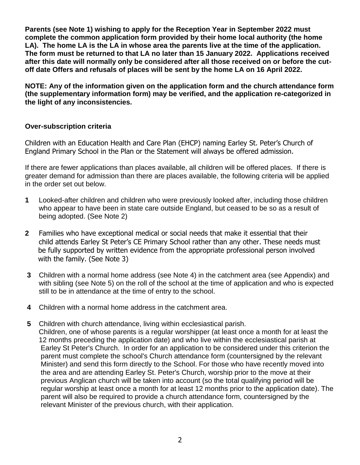**Parents (see Note 1) wishing to apply for the Reception Year in September 2022 must complete the common application form provided by their home local authority (the home LA). The home LA is the LA in whose area the parents live at the time of the application. The form must be returned to that LA no later than 15 January 2022. Applications received after this date will normally only be considered after all those received on or before the cutoff date Offers and refusals of places will be sent by the home LA on 16 April 2022.**

**NOTE: Any of the information given on the application form and the church attendance form (the supplementary information form) may be verified, and the application re-categorized in the light of any inconsistencies.**

#### **Over-subscription criteria**

Children with an Education Health and Care Plan (EHCP) naming Earley St. Peter's Church of England Primary School in the Plan or the Statement will always be offered admission.

If there are fewer applications than places available, all children will be offered places. If there is greater demand for admission than there are places available, the following criteria will be applied in the order set out below.

- **1** Looked-after children and children who were previously looked after, including those children who appear to have been in state care outside England, but ceased to be so as a result of being adopted. (See Note 2)
- **2** Families who have exceptional medical or social needs that make it essential that their child attends Earley St Peter's CE Primary School rather than any other. These needs must be fully supported by written evidence from the appropriate professional person involved with the family. (See Note 3)
- **3** Children with a normal home address (see Note 4) in the catchment area (see Appendix) and with sibling (see Note 5) on the roll of the school at the time of application and who is expected still to be in attendance at the time of entry to the school.
- **4** Children with a normal home address in the catchment area.
- **5** Children with church attendance, living within ecclesiastical parish. Children, one of whose parents is a regular worshipper (at least once a month for at least the 12 months preceding the application date) and who live within the ecclesiastical parish at Earley St Peter's Church. In order for an application to be considered under this criterion the parent must complete the school's Church attendance form (countersigned by the relevant Minister) and send this form directly to the School. For those who have recently moved into the area and are attending Earley St. Peter's Church, worship prior to the move at their previous Anglican church will be taken into account (so the total qualifying period will be regular worship at least once a month for at least 12 months prior to the application date). The parent will also be required to provide a church attendance form, countersigned by the relevant Minister of the previous church, with their application.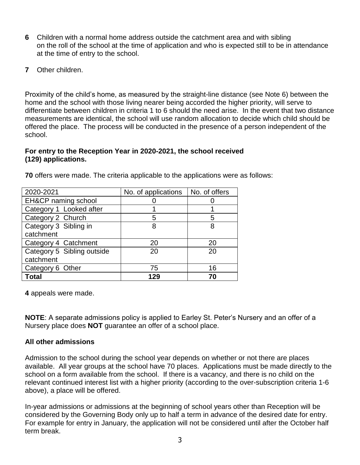- **6** Children with a normal home address outside the catchment area and with sibling on the roll of the school at the time of application and who is expected still to be in attendance at the time of entry to the school.
- **7** Other children.

Proximity of the child's home, as measured by the straight-line distance (see Note 6) between the home and the school with those living nearer being accorded the higher priority, will serve to differentiate between children in criteria 1 to 6 should the need arise. In the event that two distance measurements are identical, the school will use random allocation to decide which child should be offered the place. The process will be conducted in the presence of a person independent of the school.

#### **For entry to the Reception Year in 2020-2021, the school received (129) applications.**

| 2020-2021                  | No. of applications | No. of offers |
|----------------------------|---------------------|---------------|
| EH&CP naming school        |                     |               |
| Category 1 Looked after    |                     |               |
| Category 2 Church          | 5                   | 5             |
| Category 3 Sibling in      | 8                   | 8             |
| catchment                  |                     |               |
| Category 4 Catchment       | 20                  | 20            |
| Category 5 Sibling outside | 20                  | 20            |
| catchment                  |                     |               |
| Category 6 Other           | 75                  | 16            |
| Total                      | 129                 | 70            |

**70** offers were made. The criteria applicable to the applications were as follows:

**4** appeals were made.

**NOTE**: A separate admissions policy is applied to Earley St. Peter's Nursery and an offer of a Nursery place does **NOT** guarantee an offer of a school place.

# **All other admissions**

Admission to the school during the school year depends on whether or not there are places available. All year groups at the school have 70 places. Applications must be made directly to the school on a form available from the school. If there is a vacancy, and there is no child on the relevant continued interest list with a higher priority (according to the over-subscription criteria 1-6 above), a place will be offered.

In-year admissions or admissions at the beginning of school years other than Reception will be considered by the Governing Body only up to half a term in advance of the desired date for entry. For example for entry in January, the application will not be considered until after the October half term break.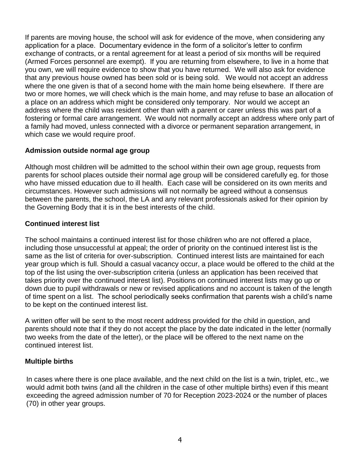If parents are moving house, the school will ask for evidence of the move, when considering any application for a place. Documentary evidence in the form of a solicitor's letter to confirm exchange of contracts, or a rental agreement for at least a period of six months will be required (Armed Forces personnel are exempt). If you are returning from elsewhere, to live in a home that you own, we will require evidence to show that you have returned. We will also ask for evidence that any previous house owned has been sold or is being sold. We would not accept an address where the one given is that of a second home with the main home being elsewhere. If there are two or more homes, we will check which is the main home, and may refuse to base an allocation of a place on an address which might be considered only temporary. Nor would we accept an address where the child was resident other than with a parent or carer unless this was part of a fostering or formal care arrangement. We would not normally accept an address where only part of a family had moved, unless connected with a divorce or permanent separation arrangement, in which case we would require proof.

# **Admission outside normal age group**

Although most children will be admitted to the school within their own age group, requests from parents for school places outside their normal age group will be considered carefully eg. for those who have missed education due to ill health. Each case will be considered on its own merits and circumstances. However such admissions will not normally be agreed without a consensus between the parents, the school, the LA and any relevant professionals asked for their opinion by the Governing Body that it is in the best interests of the child.

#### **Continued interest list**

The school maintains a continued interest list for those children who are not offered a place, including those unsuccessful at appeal; the order of priority on the continued interest list is the same as the list of criteria for over-subscription. Continued interest lists are maintained for each year group which is full. Should a casual vacancy occur, a place would be offered to the child at the top of the list using the over-subscription criteria (unless an application has been received that takes priority over the continued interest list). Positions on continued interest lists may go up or down due to pupil withdrawals or new or revised applications and no account is taken of the length of time spent on a list. The school periodically seeks confirmation that parents wish a child's name to be kept on the continued interest list.

A written offer will be sent to the most recent address provided for the child in question, and parents should note that if they do not accept the place by the date indicated in the letter (normally two weeks from the date of the letter), or the place will be offered to the next name on the continued interest list.

# **Multiple births**

In cases where there is one place available, and the next child on the list is a twin, triplet, etc., we would admit both twins (and all the children in the case of other multiple births) even if this meant exceeding the agreed admission number of 70 for Reception 2023-2024 or the number of places (70) in other year groups.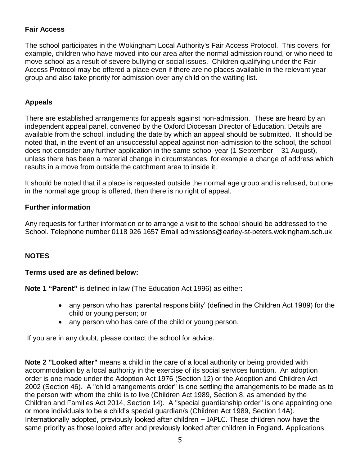# **Fair Access**

The school participates in the Wokingham Local Authority's Fair Access Protocol. This covers, for example, children who have moved into our area after the normal admission round, or who need to move school as a result of severe bullying or social issues. Children qualifying under the Fair Access Protocol may be offered a place even if there are no places available in the relevant year group and also take priority for admission over any child on the waiting list.

# **Appeals**

There are established arrangements for appeals against non-admission. These are heard by an independent appeal panel, convened by the Oxford Diocesan Director of Education. Details are available from the school, including the date by which an appeal should be submitted. It should be noted that, in the event of an unsuccessful appeal against non-admission to the school, the school does not consider any further application in the same school year (1 September – 31 August), unless there has been a material change in circumstances, for example a change of address which results in a move from outside the catchment area to inside it.

It should be noted that if a place is requested outside the normal age group and is refused, but one in the normal age group is offered, then there is no right of appeal.

# **Further information**

Any requests for further information or to arrange a visit to the school should be addressed to the School. Telephone number 0118 926 1657 Email admissions@earley-st-peters.wokingham.sch.uk

# **NOTES**

#### **Terms used are as defined below:**

**Note 1 "Parent"** is defined in law (The Education Act 1996) as either:

- any person who has 'parental responsibility' (defined in the Children Act 1989) for the child or young person; or
- any person who has care of the child or young person.

If you are in any doubt, please contact the school for advice.

**Note 2 "Looked after"** means a child in the care of a local authority or being provided with accommodation by a local authority in the exercise of its social services function. An adoption order is one made under the Adoption Act 1976 (Section 12) or the Adoption and Children Act 2002 (Section 46). A "child arrangements order" is one settling the arrangements to be made as to the person with whom the child is to live (Children Act 1989, Section 8, as amended by the Children and Families Act 2014, Section 14). A "special guardianship order" is one appointing one or more individuals to be a child's special guardian/s (Children Act 1989, Section 14A). Internationally adopted, previously looked after children – IAPLC. These children now have the same priority as those looked after and previously looked after children in England. Applications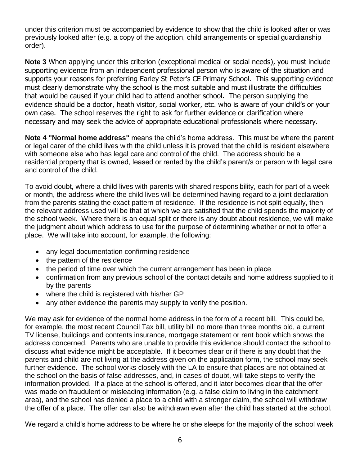under this criterion must be accompanied by evidence to show that the child is looked after or was previously looked after (e.g. a copy of the adoption, child arrangements or special guardianship order).

**Note 3** When applying under this criterion (exceptional medical or social needs), you must include supporting evidence from an independent professional person who is aware of the situation and supports your reasons for preferring Earley St Peter's CE Primary School. This supporting evidence must clearly demonstrate why the school is the most suitable and must illustrate the difficulties that would be caused if your child had to attend another school. The person supplying the evidence should be a doctor, heath visitor, social worker, etc. who is aware of your child's or your own case. The school reserves the right to ask for further evidence or clarification where necessary and may seek the advice of appropriate educational professionals where necessary.

**Note 4 "Normal home address"** means the child's home address. This must be where the parent or legal carer of the child lives with the child unless it is proved that the child is resident elsewhere with someone else who has legal care and control of the child. The address should be a residential property that is owned, leased or rented by the child's parent/s or person with legal care and control of the child.

To avoid doubt, where a child lives with parents with shared responsibility, each for part of a week or month, the address where the child lives will be determined having regard to a joint declaration from the parents stating the exact pattern of residence. If the residence is not split equally, then the relevant address used will be that at which we are satisfied that the child spends the majority of the school week. Where there is an equal split or there is any doubt about residence, we will make the judgment about which address to use for the purpose of determining whether or not to offer a place. We will take into account, for example, the following:

- any legal documentation confirming residence
- the pattern of the residence
- the period of time over which the current arrangement has been in place
- confirmation from any previous school of the contact details and home address supplied to it by the parents
- where the child is registered with his/her GP
- any other evidence the parents may supply to verify the position.

We may ask for evidence of the normal home address in the form of a recent bill. This could be, for example, the most recent Council Tax bill, utility bill no more than three months old, a current TV license, buildings and contents insurance, mortgage statement or rent book which shows the address concerned. Parents who are unable to provide this evidence should contact the school to discuss what evidence might be acceptable. If it becomes clear or if there is any doubt that the parents and child are not living at the address given on the application form, the school may seek further evidence. The school works closely with the LA to ensure that places are not obtained at the school on the basis of false addresses, and, in cases of doubt, will take steps to verify the information provided. If a place at the school is offered, and it later becomes clear that the offer was made on fraudulent or misleading information (e.g. a false claim to living in the catchment area), and the school has denied a place to a child with a stronger claim, the school will withdraw the offer of a place. The offer can also be withdrawn even after the child has started at the school.

We regard a child's home address to be where he or she sleeps for the majority of the school week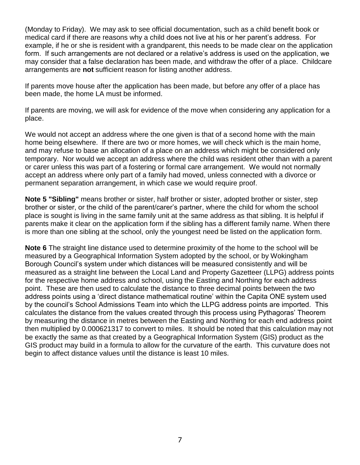(Monday to Friday). We may ask to see official documentation, such as a child benefit book or medical card if there are reasons why a child does not live at his or her parent's address. For example, if he or she is resident with a grandparent, this needs to be made clear on the application form. If such arrangements are not declared or a relative's address is used on the application, we may consider that a false declaration has been made, and withdraw the offer of a place. Childcare arrangements are **not** sufficient reason for listing another address.

If parents move house after the application has been made, but before any offer of a place has been made, the home LA must be informed.

If parents are moving, we will ask for evidence of the move when considering any application for a place.

We would not accept an address where the one given is that of a second home with the main home being elsewhere. If there are two or more homes, we will check which is the main home, and may refuse to base an allocation of a place on an address which might be considered only temporary. Nor would we accept an address where the child was resident other than with a parent or carer unless this was part of a fostering or formal care arrangement. We would not normally accept an address where only part of a family had moved, unless connected with a divorce or permanent separation arrangement, in which case we would require proof.

**Note 5 "Sibling"** means brother or sister, half brother or sister, adopted brother or sister, step brother or sister, or the child of the parent/carer's partner, where the child for whom the school place is sought is living in the same family unit at the same address as that sibling. It is helpful if parents make it clear on the application form if the sibling has a different family name. When there is more than one sibling at the school, only the youngest need be listed on the application form.

**Note 6** The straight line distance used to determine proximity of the home to the school will be measured by a Geographical Information System adopted by the school, or by Wokingham Borough Council's system under which distances will be measured consistently and will be measured as a straight line between the Local Land and Property Gazetteer (LLPG) address points for the respective home address and school, using the Easting and Northing for each address point. These are then used to calculate the distance to three decimal points between the two address points using a 'direct distance mathematical routine' within the Capita ONE system used by the council's School Admissions Team into which the LLPG address points are imported. This calculates the distance from the values created through this process using Pythagoras' Theorem by measuring the distance in metres between the Easting and Northing for each end address point then multiplied by 0.000621317 to convert to miles. It should be noted that this calculation may not be exactly the same as that created by a Geographical Information System (GIS) product as the GIS product may build in a formula to allow for the curvature of the earth. This curvature does not begin to affect distance values until the distance is least 10 miles.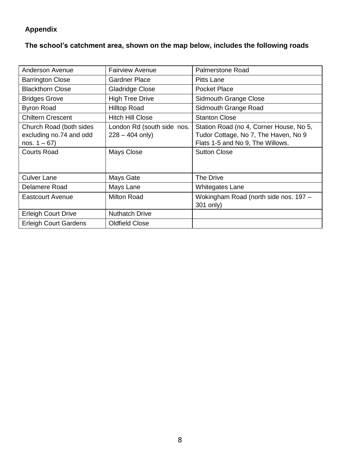# **Appendix**

**The school's catchment area, shown on the map below, includes the following roads**

| <b>Anderson Avenue</b>                                                                      | <b>Fairview Avenue</b>                                        | <b>Palmerstone Road</b>                                                                                                                    |
|---------------------------------------------------------------------------------------------|---------------------------------------------------------------|--------------------------------------------------------------------------------------------------------------------------------------------|
| <b>Barrington Close</b>                                                                     | <b>Gardner Place</b>                                          | <b>Pitts Lane</b>                                                                                                                          |
| <b>Blackthorn Close</b>                                                                     | <b>Gladridge Close</b>                                        | <b>Pocket Place</b>                                                                                                                        |
| <b>Bridges Grove</b>                                                                        | <b>High Tree Drive</b>                                        | Sidmouth Grange Close                                                                                                                      |
| <b>Byron Road</b>                                                                           | <b>Hilltop Road</b>                                           | Sidmouth Grange Road                                                                                                                       |
| <b>Chiltern Crescent</b>                                                                    | <b>Hitch Hill Close</b>                                       | <b>Stanton Close</b>                                                                                                                       |
| Church Road (both sides<br>excluding no.74 and odd<br>nos. $1 - 67$ )<br><b>Courts Road</b> | London Rd (south side nos.<br>$228 - 404$ only)<br>Mays Close | Station Road (no 4, Corner House, No 5,<br>Tudor Cottage, No 7, The Haven, No 9<br>Flats 1-5 and No 9, The Willows.<br><b>Sutton Close</b> |
| <b>Culver Lane</b>                                                                          | Mays Gate                                                     | The Drive                                                                                                                                  |
| Delamere Road                                                                               | Mays Lane                                                     | Whitegates Lane                                                                                                                            |
| <b>Eastcourt Avenue</b>                                                                     | <b>Milton Road</b>                                            | Wokingham Road (north side nos. 197 -<br>301 only)                                                                                         |
| <b>Erleigh Court Drive</b>                                                                  | <b>Nuthatch Drive</b>                                         |                                                                                                                                            |
| <b>Erleigh Court Gardens</b>                                                                | <b>Oldfield Close</b>                                         |                                                                                                                                            |